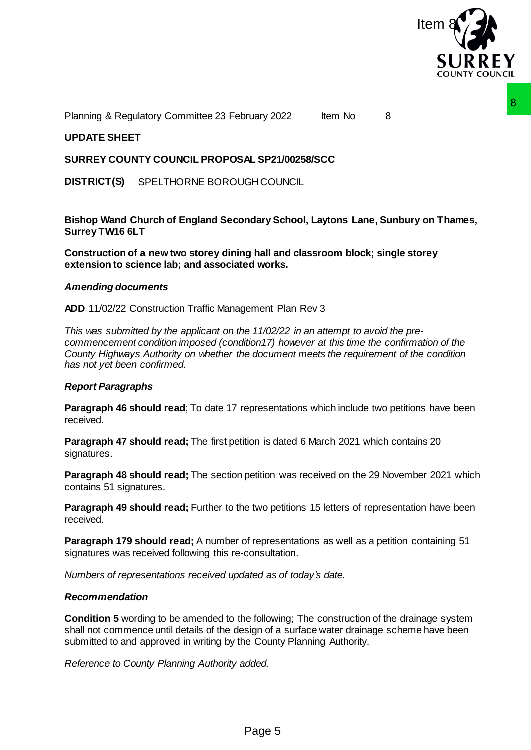

Planning & Regulatory Committee 23 February 2022 Item No 8

# **UPDATE SHEET**

### **SURREY COUNTY COUNCIL PROPOSAL SP21/00258/SCC**

**DISTRICT(S)** SPELTHORNE BOROUGH COUNCIL

**Bishop Wand Church of England Secondary School, Laytons Lane, Sunbury on Thames, Surrey TW16 6LT**

**Construction of a new two storey dining hall and classroom block; single storey extension to science lab; and associated works.**

#### *Amending documents*

**ADD** 11/02/22 Construction Traffic Management Plan Rev 3

*This was submitted by the applicant on the 11/02/22 in an attempt to avoid the precommencement condition imposed (condition17) however at this time the confirmation of the County Highways Authority on whether the document meets the requirement of the condition has not yet been confirmed.* order 2022<br>
ML SP21/00258/SCC<br>
CHCOUNCIL<br>
CHCOUNCIL<br>
CHCOUNCIL<br>
CHCOUNCIL<br>
FROM SUBSESS CONSIDE CONSIDE SUBSESS TO THE SUBSES THE SUBSES OF SUBSES THE METALLY 2 in an attempt to avoid the pre-<br>
certo-consider this image of

## *Report Paragraphs*

**Paragraph 46 should read**; To date 17 representations which include two petitions have been received.

**Paragraph 47 should read;** The first petition is dated 6 March 2021 which contains 20 signatures.

**Paragraph 48 should read;** The section petition was received on the 29 November 2021 which contains 51 signatures.

**Paragraph 49 should read;** Further to the two petitions 15 letters of representation have been received.

**Paragraph 179 should read;** A number of representations as well as a petition containing 51 signatures was received following this re-consultation.

*Numbers of representations received updated as of today's date.*

#### *Recommendation*

**Condition 5** wording to be amended to the following; The construction of the drainage system shall not commence until details of the design of a surface water drainage scheme have been submitted to and approved in writing by the County Planning Authority.

*Reference to County Planning Authority added.*